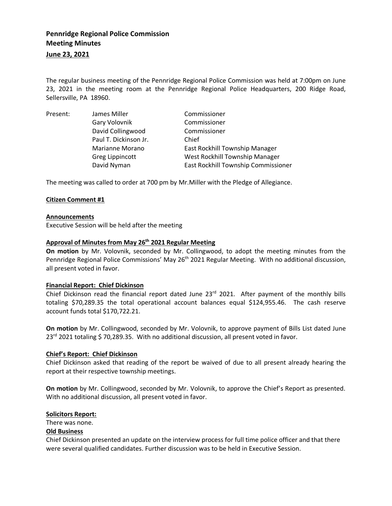# **Pennridge Regional Police Commission Meeting Minutes**

# **June 23, 2021**

The regular business meeting of the Pennridge Regional Police Commission was held at 7:00pm on June 23, 2021 in the meeting room at the Pennridge Regional Police Headquarters, 200 Ridge Road, Sellersville, PA 18960.

| Present: | James Miller          | Commissioner                          |
|----------|-----------------------|---------------------------------------|
|          | Gary Volovnik         | Commissioner                          |
|          | David Collingwood     | Commissioner                          |
|          | Paul T. Dickinson Jr. | Chief                                 |
|          | Marianne Morano       | <b>East Rockhill Township Manager</b> |
|          | Greg Lippincott       | West Rockhill Township Manager        |
|          | David Nyman           | East Rockhill Township Commissioner   |

The meeting was called to order at 700 pm by Mr.Miller with the Pledge of Allegiance.

# **Citizen Comment #1**

#### **Announcements**

Executive Session will be held after the meeting

# **Approval of Minutes from May 26th 2021 Regular Meeting**

**On motion** by Mr. Volovnik, seconded by Mr. Collingwood, to adopt the meeting minutes from the Pennridge Regional Police Commissions' May 26<sup>th</sup> 2021 Regular Meeting. With no additional discussion, all present voted in favor.

#### **Financial Report: Chief Dickinson**

Chief Dickinson read the financial report dated June 23<sup>rd</sup> 2021. After payment of the monthly bills totaling \$70,289.35 the total operational account balances equal \$124,955.46. The cash reserve account funds total \$170,722.21.

**On motion** by Mr. Collingwood, seconded by Mr. Volovnik, to approve payment of Bills List dated June 23<sup>rd</sup> 2021 totaling \$70,289.35. With no additional discussion, all present voted in favor.

#### **Chief's Report: Chief Dickinson**

Chief Dickinson asked that reading of the report be waived of due to all present already hearing the report at their respective township meetings.

**On motion** by Mr. Collingwood, seconded by Mr. Volovnik, to approve the Chief's Report as presented. With no additional discussion, all present voted in favor.

#### **Solicitors Report:**

There was none.

#### **Old Business**

Chief Dickinson presented an update on the interview process for full time police officer and that there were several qualified candidates. Further discussion was to be held in Executive Session.